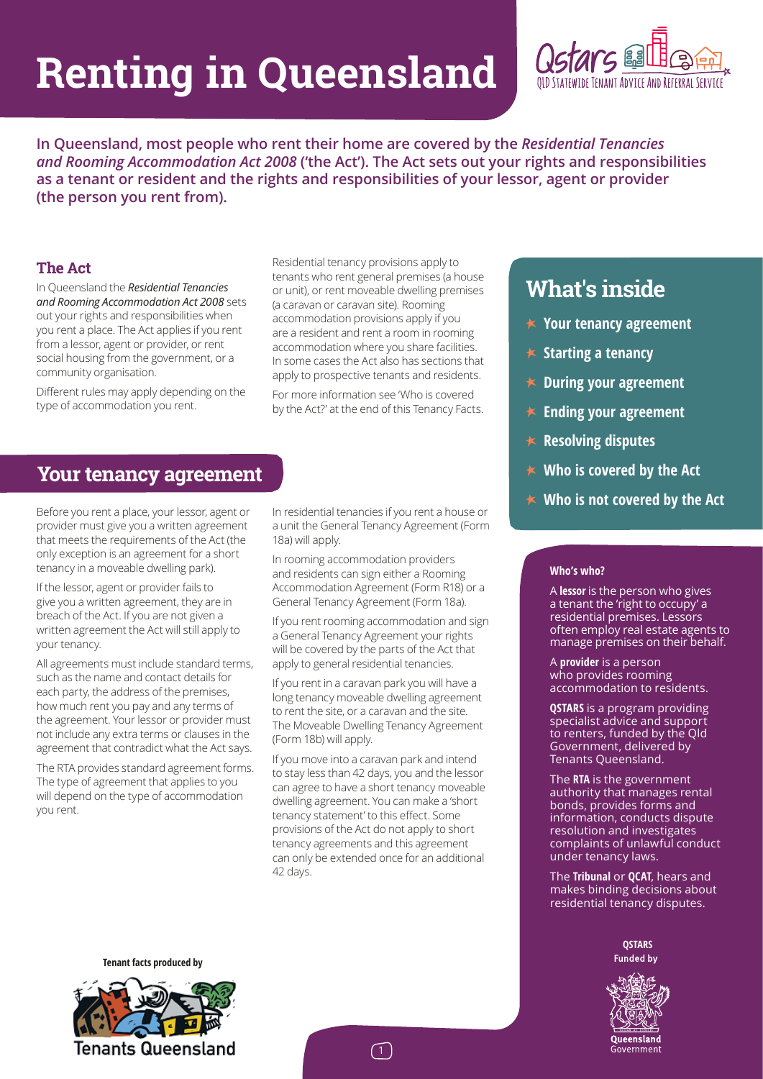# **Renting in Queensland**



**In Queensland, most people who rent their home are covered by the** *Residential Tenancies and Rooming Accommodation Act 2008* **('the Act'). The Act sets out your rights and responsibilities as a tenant or resident and the rights and responsibilities of your lessor, agent or provider (the person you rent from).**

## **The Act**

In Queensland the *Residential Tenancies and Rooming Accommodation Act 2008* sets out your rights and responsibilities when you rent a place. The Act applies if you rent from a lessor, agent or provider, or rent social housing from the government, or a community organisation.

Different rules may apply depending on the type of accommodation you rent.

Residential tenancy provisions apply to tenants who rent general premises (a house or unit), or rent moveable dwelling premises (a caravan or caravan site). Rooming accommodation provisions apply if you are a resident and rent a room in rooming accommodation where you share facilities. In some cases the Act also has sections that apply to prospective tenants and residents.

For more information see 'Who is covered by the Act?' at the end of this Tenancy Facts.

## **Your tenancy agreement**

Before you rent a place, your lessor, agent or provider must give you a written agreement that meets the requirements of the Act (the only exception is an agreement for a short tenancy in a moveable dwelling park).

If the lessor, agent or provider fails to give you a written agreement, they are in breach of the Act. If you are not given a written agreement the Act will still apply to your tenancy.

All agreements must include standard terms, such as the name and contact details for each party, the address of the premises, how much rent you pay and any terms of the agreement. Your lessor or provider must not include any extra terms or clauses in the agreement that contradict what the Act says.

The RTA provides standard agreement forms. The type of agreement that applies to you will depend on the type of accommodation you rent.

In residential tenancies if you rent a house or a unit the General Tenancy Agreement (Form 18a) will apply.

In rooming accommodation providers and residents can sign either a Rooming Accommodation Agreement (Form R18) or a General Tenancy Agreement (Form 18a).

If you rent rooming accommodation and sign a General Tenancy Agreement your rights will be covered by the parts of the Act that apply to general residential tenancies.

If you rent in a caravan park you will have a long tenancy moveable dwelling agreement to rent the site, or a caravan and the site. The Moveable Dwelling Tenancy Agreement (Form 18b) will apply.

If you move into a caravan park and intend to stay less than 42 days, you and the lessor can agree to have a short tenancy moveable dwelling agreement. You can make a 'short tenancy statement' to this effect. Some provisions of the Act do not apply to short tenancy agreements and this agreement can only be extended once for an additional 42 days.

# **What's inside**

- **Your tenancy agreement**
- $\star$  Starting a tenancy
- **During your agreement**
- **Ending your agreement**
- **Resolving disputes**
- **Who is covered by the Act**
- **Who is not covered by the Act**

#### **Who's who?**

A **lessor** is the person who gives a tenant the 'right to occupy' a residential premises. Lessors often employ real estate agents to manage premises on their behalf.

A **provider** is a person who provides rooming accommodation to residents.

**QSTARS** is a program providing specialist advice and support to renters, funded by the Qld Government, delivered by Tenants Queensland.

The **RTA** is the government authority that manages rental bonds, provides forms and information, conducts dispute resolution and investigates complaints of unlawful conduct under tenancy laws.

The **Tribunal** or **QCAT**, hears and makes binding decisions about residential tenancy disputes.

> **QSTARS Funded by**



**Tenant facts produced by** 

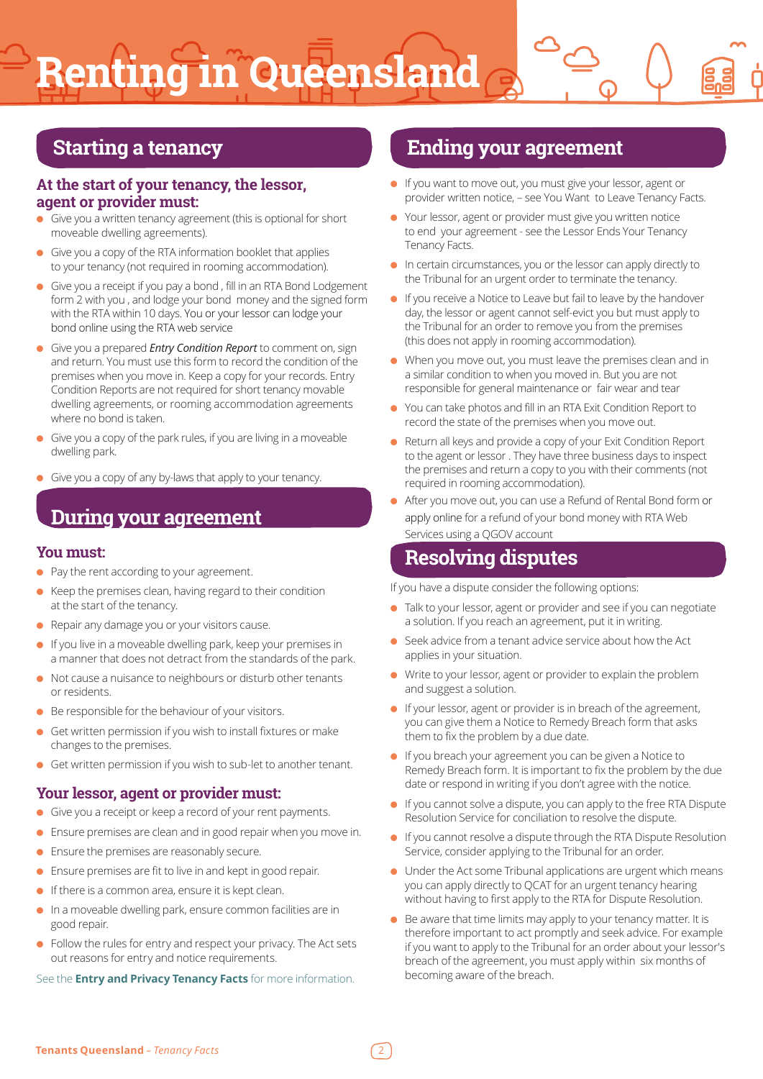# **Renting in Queensland**

# **Starting a tenancy**

## **At the start of your tenancy, the lessor, agent or provider must:**

- Give you a written tenancy agreement (this is optional for short moveable dwelling agreements).
- Give you a copy of the RTA information booklet that applies to your tenancy (not required in rooming accommodation).
- Give you a receipt if you pay a bond, fill in an RTA Bond Lodgement form 2 with you , and lodge your bond money and the signed form with the RTA within 10 days. You or your lessor can lodge your bond online using the RTA web service
- Give you a prepared *Entry Condition Report* to comment on, sign and return. You must use this form to record the condition of the premises when you move in. Keep a copy for your records. Entry Condition Reports are not required for short tenancy movable dwelling agreements, or rooming accommodation agreements where no bond is taken.
- Give you a copy of the park rules, if you are living in a moveable dwelling park.
- Give you a copy of any by-laws that apply to your tenancy.

# **During your agreement**

### **You must:**

- Pay the rent according to your agreement.
- Keep the premises clean, having regard to their condition at the start of the tenancy.
- Repair any damage you or your visitors cause.
- If you live in a moveable dwelling park, keep your premises in a manner that does not detract from the standards of the park.
- Not cause a nuisance to neighbours or disturb other tenants or residents.
- Be responsible for the behaviour of your visitors.
- Get written permission if you wish to install fixtures or make changes to the premises.
- Get written permission if you wish to sub-let to another tenant.

### **Your lessor, agent or provider must:**

- Give you a receipt or keep a record of your rent payments.
- Ensure premises are clean and in good repair when you move in.
- Ensure the premises are reasonably secure.
- Ensure premises are fit to live in and kept in good repair.
- If there is a common area, ensure it is kept clean.
- In a moveable dwelling park, ensure common facilities are in good repair.
- Follow the rules for entry and respect your privacy. The Act sets out reasons for entry and notice requirements.

#### See the **Entry and Privacy Tenancy Facts** for more information.

## **Ending your agreement**

- If you want to move out, you must give your lessor, agent or provider written notice, – see You Want to Leave Tenancy Facts.
- Your lessor, agent or provider must give you written notice to end your agreement - see the Lessor Ends Your Tenancy Tenancy Facts.
- In certain circumstances, you or the lessor can apply directly to the Tribunal for an urgent order to terminate the tenancy.
- If you receive a Notice to Leave but fail to leave by the handover day, the lessor or agent cannot self-evict you but must apply to the Tribunal for an order to remove you from the premises (this does not apply in rooming accommodation).
- When you move out, you must leave the premises clean and in a similar condition to when you moved in. But you are not responsible for general maintenance or fair wear and tear
- You can take photos and fill in an RTA Exit Condition Report to record the state of the premises when you move out.
- Return all keys and provide a copy of your Exit Condition Report to the agent or lessor . They have three business days to inspect the premises and return a copy to you with their comments (not required in rooming accommodation).
- After you move out, you can use a Refund of Rental Bond form or apply online for a refund of your bond money with RTA Web Services using a QGOV account

# **Resolving disputes**

If you have a dispute consider the following options:

- Talk to your lessor, agent or provider and see if you can negotiate a solution. If you reach an agreement, put it in writing.
- Seek advice from a tenant advice service about how the Act applies in your situation.
- Write to your lessor, agent or provider to explain the problem and suggest a solution.
- If your lessor, agent or provider is in breach of the agreement, you can give them a Notice to Remedy Breach form that asks them to fix the problem by a due date.
- If you breach your agreement you can be given a Notice to Remedy Breach form. It is important to fix the problem by the due date or respond in writing if you don't agree with the notice.
- If you cannot solve a dispute, you can apply to the free RTA Dispute Resolution Service for conciliation to resolve the dispute.
- If you cannot resolve a dispute through the RTA Dispute Resolution Service, consider applying to the Tribunal for an order.
- Under the Act some Tribunal applications are urgent which means you can apply directly to QCAT for an urgent tenancy hearing without having to first apply to the RTA for Dispute Resolution.
- Be aware that time limits may apply to your tenancy matter. It is therefore important to act promptly and seek advice. For example if you want to apply to the Tribunal for an order about your lessor's breach of the agreement, you must apply within six months of becoming aware of the breach.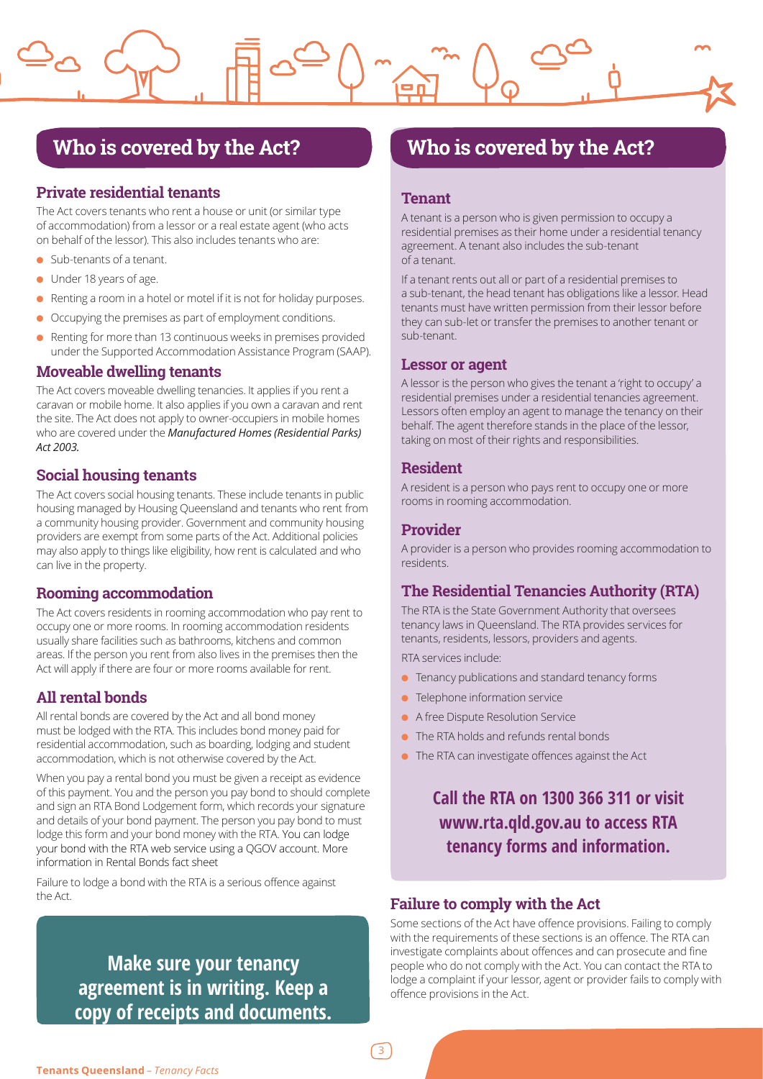# **Who is covered by the Act?**

## **Private residential tenants**

The Act covers tenants who rent a house or unit (or similar type of accommodation) from a lessor or a real estate agent (who acts on behalf of the lessor). This also includes tenants who are:

- Sub-tenants of a tenant.
- Under 18 years of age.
- Renting a room in a hotel or motel if it is not for holiday purposes.
- Occupying the premises as part of employment conditions.
- Renting for more than 13 continuous weeks in premises provided under the Supported Accommodation Assistance Program (SAAP).

#### **Moveable dwelling tenants**

The Act covers moveable dwelling tenancies. It applies if you rent a caravan or mobile home. It also applies if you own a caravan and rent the site. The Act does not apply to owner-occupiers in mobile homes who are covered under the *Manufactured Homes (Residential Parks) Act 2003.*

## **Social housing tenants**

The Act covers social housing tenants. These include tenants in public housing managed by Housing Queensland and tenants who rent from a community housing provider. Government and community housing providers are exempt from some parts of the Act. Additional policies may also apply to things like eligibility, how rent is calculated and who can live in the property.

### **Rooming accommodation**

The Act covers residents in rooming accommodation who pay rent to occupy one or more rooms. In rooming accommodation residents usually share facilities such as bathrooms, kitchens and common areas. If the person you rent from also lives in the premises then the Act will apply if there are four or more rooms available for rent.

## **All rental bonds**

All rental bonds are covered by the Act and all bond money must be lodged with the RTA. This includes bond money paid for residential accommodation, such as boarding, lodging and student accommodation, which is not otherwise covered by the Act.

When you pay a rental bond you must be given a receipt as evidence of this payment. You and the person you pay bond to should complete and sign an RTA Bond Lodgement form, which records your signature and details of your bond payment. The person you pay bond to must lodge this form and your bond money with the RTA. You can lodge your bond with the RTA web service using a QGOV account. More information in Rental Bonds fact sheet

Failure to lodge a bond with the RTA is a serious offence against the Act.

> **Make sure your tenancy agreement is in writing. Keep a copy of receipts and documents.**

# **Who is covered by the Act?**

#### **Tenant**

A tenant is a person who is given permission to occupy a residential premises as their home under a residential tenancy agreement. A tenant also includes the sub-tenant of a tenant.

If a tenant rents out all or part of a residential premises to a sub-tenant, the head tenant has obligations like a lessor. Head tenants must have written permission from their lessor before they can sub-let or transfer the premises to another tenant or sub-tenant.

#### **Lessor or agent**

A lessor is the person who gives the tenant a 'right to occupy' a residential premises under a residential tenancies agreement. Lessors often employ an agent to manage the tenancy on their behalf. The agent therefore stands in the place of the lessor, taking on most of their rights and responsibilities.

#### **Resident**

A resident is a person who pays rent to occupy one or more rooms in rooming accommodation.

#### **Provider**

A provider is a person who provides rooming accommodation to residents.

## **The Residential Tenancies Authority (RTA)**

The RTA is the State Government Authority that oversees tenancy laws in Queensland. The RTA provides services for tenants, residents, lessors, providers and agents.

RTA services include:

- Tenancy publications and standard tenancy forms
- Telephone information service
- A free Dispute Resolution Service
- The RTA holds and refunds rental bonds
- The RTA can investigate offences against the Act

**Call the RTA on 1300 366 311 or visit www.rta.qld.gov.au to access RTA tenancy forms and information.**

### **Failure to comply with the Act**

Some sections of the Act have offence provisions. Failing to comply with the requirements of these sections is an offence. The RTA can investigate complaints about offences and can prosecute and fine people who do not comply with the Act. You can contact the RTA to lodge a complaint if your lessor, agent or provider fails to comply with offence provisions in the Act.